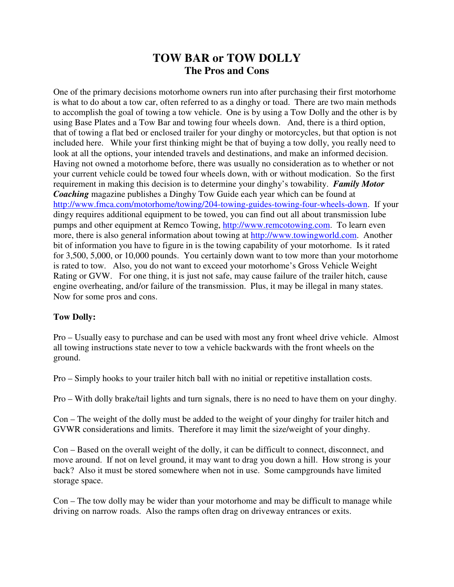## **TOW BAR or TOW DOLLY The Pros and Cons**

One of the primary decisions motorhome owners run into after purchasing their first motorhome is what to do about a tow car, often referred to as a dinghy or toad. There are two main methods to accomplish the goal of towing a tow vehicle. One is by using a Tow Dolly and the other is by using Base Plates and a Tow Bar and towing four wheels down. And, there is a third option, that of towing a flat bed or enclosed trailer for your dinghy or motorcycles, but that option is not included here. While your first thinking might be that of buying a tow dolly, you really need to look at all the options, your intended travels and destinations, and make an informed decision. Having not owned a motorhome before, there was usually no consideration as to whether or not your current vehicle could be towed four wheels down, with or without modication. So the first requirement in making this decision is to determine your dinghy's towability. *Family Motor Coaching* magazine publishes a Dinghy Tow Guide each year which can be found at http://www.fmca.com/motorhome/towing/204-towing-guides-towing-four-wheels-down. If your dingy requires additional equipment to be towed, you can find out all about transmission lube pumps and other equipment at Remco Towing, http://www.remcotowing.com. To learn even more, there is also general information about towing at http://www.towingworld.com. Another bit of information you have to figure in is the towing capability of your motorhome. Is it rated for 3,500, 5,000, or 10,000 pounds. You certainly down want to tow more than your motorhome is rated to tow. Also, you do not want to exceed your motorhome's Gross Vehicle Weight Rating or GVW. For one thing, it is just not safe, may cause failure of the trailer hitch, cause engine overheating, and/or failure of the transmission. Plus, it may be illegal in many states. Now for some pros and cons.

## **Tow Dolly:**

Pro – Usually easy to purchase and can be used with most any front wheel drive vehicle. Almost all towing instructions state never to tow a vehicle backwards with the front wheels on the ground.

Pro – Simply hooks to your trailer hitch ball with no initial or repetitive installation costs.

Pro – With dolly brake/tail lights and turn signals, there is no need to have them on your dinghy.

Con – The weight of the dolly must be added to the weight of your dinghy for trailer hitch and GVWR considerations and limits. Therefore it may limit the size/weight of your dinghy.

Con – Based on the overall weight of the dolly, it can be difficult to connect, disconnect, and move around. If not on level ground, it may want to drag you down a hill. How strong is your back? Also it must be stored somewhere when not in use. Some campgrounds have limited storage space.

Con – The tow dolly may be wider than your motorhome and may be difficult to manage while driving on narrow roads. Also the ramps often drag on driveway entrances or exits.